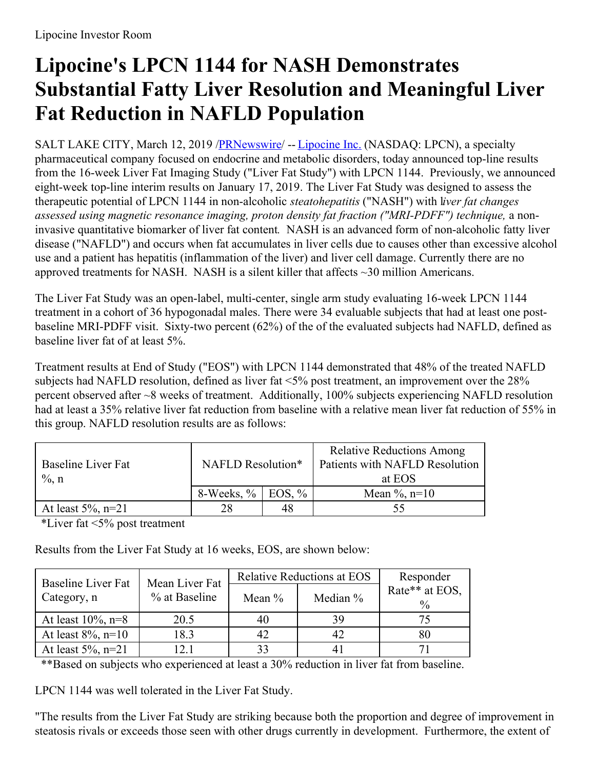# **Lipocine's LPCN 1144 for NASH Demonstrates Substantial Fatty Liver Resolution and Meaningful Liver Fat Reduction in NAFLD Population**

SALT LAKE CITY, March 12, 2019 [/PRNewswire](http://www.prnewswire.com/)/ -- [Lipocine](https://c212.net/c/link/?t=0&l=en&o=2399832-1&h=1072711581&u=http%3A%2F%2Fwww.lipocine.com%2F&a=Lipocine+Inc.) Inc. (NASDAQ: LPCN), a specialty pharmaceutical company focused on endocrine and metabolic disorders, today announced top-line results from the 16-week Liver Fat Imaging Study ("Liver Fat Study") with LPCN 1144. Previously, we announced eight-week top-line interim results on January 17, 2019. The Liver Fat Study was designed to assess the therapeutic potential of LPCN 1144 in non-alcoholic *steatohepatitis* ("NASH") with l*iver fat changes assessed using magnetic resonance imaging, proton density fat fraction ("MRI-PDFF") technique,* a noninvasive quantitative biomarker of liver fat content*.* NASH is an advanced form of non-alcoholic fatty liver disease ("NAFLD") and occurs when fat accumulates in liver cells due to causes other than excessive alcohol use and a patient has hepatitis (inflammation of the liver) and liver cell damage. Currently there are no approved treatments for NASH. NASH is a silent killer that affects ~30 million Americans.

The Liver Fat Study was an open-label, multi-center, single arm study evaluating 16-week LPCN 1144 treatment in a cohort of 36 hypogonadal males. There were 34 evaluable subjects that had at least one postbaseline MRI-PDFF visit. Sixty-two percent (62%) of the of the evaluated subjects had NAFLD, defined as baseline liver fat of at least 5%.

Treatment results at End of Study ("EOS") with LPCN 1144 demonstrated that 48% of the treated NAFLD subjects had NAFLD resolution, defined as liver fat <5% post treatment, an improvement over the 28% percent observed after ~8 weeks of treatment. Additionally, 100% subjects experiencing NAFLD resolution had at least a 35% relative liver fat reduction from baseline with a relative mean liver fat reduction of 55% in this group. NAFLD resolution results are as follows:

| Baseline Liver Fat<br>$\%$ , n | NAFLD Resolution*       |    | <b>Relative Reductions Among</b><br>Patients with NAFLD Resolution<br>at EOS |  |
|--------------------------------|-------------------------|----|------------------------------------------------------------------------------|--|
|                                | 8-Weeks, $\%$ EOS, $\%$ |    | Mean $\%$ , n=10                                                             |  |
| At least $5\%$ , n=21          | 28                      | 48 | 55                                                                           |  |

\*Liver fat <5% post treatment

Results from the Liver Fat Study at 16 weeks, EOS, are shown below:

| Baseline Liver Fat<br>Category, n | Mean Liver Fat | <b>Relative Reductions at EOS</b> |            | Responder                       |
|-----------------------------------|----------------|-----------------------------------|------------|---------------------------------|
|                                   | % at Baseline  | Mean $\%$                         | Median $%$ | Rate** at EOS,<br>$\frac{0}{0}$ |
| At least $10\%$ , n=8             | 20.5           | 40                                | 39         |                                 |
| At least $8\%$ , n=10             | 18.3           |                                   | 42         | 80                              |
| At least $5\%$ , n=21             | 121            | 33                                |            |                                 |

\*\*Based on subjects who experienced at least a 30% reduction in liver fat from baseline.

LPCN 1144 was well tolerated in the Liver Fat Study.

"The results from the Liver Fat Study are striking because both the proportion and degree of improvement in steatosis rivals or exceeds those seen with other drugs currently in development. Furthermore, the extent of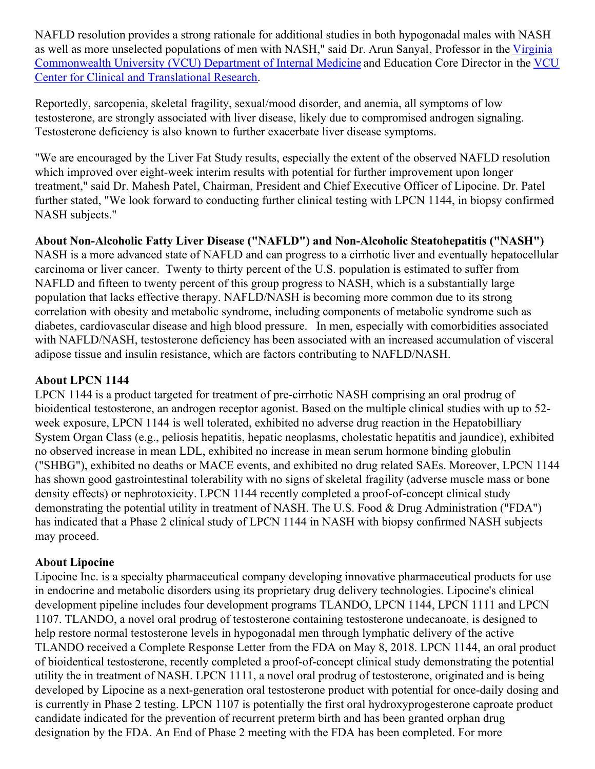NAFLD resolution provides a strong rationale for additional studies in both hypogonadal males with NASH as well as more unselected populations of men with NASH," said Dr. Arun Sanyal, Professor in the Virginia [Commonwealth](https://c212.net/c/link/?t=0&l=en&o=2399832-1&h=3225901314&u=https%3A%2F%2Fintmed.vcu.edu%2F&a=Virginia+Commonwealth+University+(VCU)+Department+of+Internal+Medicine) University (VCU) Department of Internal Medicine and Education Core Director in the VCU Center for Clinical and Translational Research.

Reportedly, sarcopenia, skeletal fragility, sexual/mood disorder, and anemia, all symptoms of low testosterone, are strongly associated with liver disease, likely due to compromised androgen signaling. Testosterone deficiency is also known to further exacerbate liver disease symptoms.

"We are encouraged by the Liver Fat Study results, especially the extent of the observed NAFLD resolution which improved over eight-week interim results with potential for further improvement upon longer treatment," said Dr. Mahesh Patel, Chairman, President and Chief Executive Officer of Lipocine. Dr. Patel further stated, "We look forward to conducting further clinical testing with LPCN 1144, in biopsy confirmed NASH subjects."

**About Non-Alcoholic Fatty Liver Disease ("NAFLD") and Non-Alcoholic Steatohepatitis ("NASH")** NASH is a more advanced state of NAFLD and can progress to a cirrhotic liver and eventually hepatocellular carcinoma or liver cancer. Twenty to thirty percent of the U.S. population is estimated to suffer from NAFLD and fifteen to twenty percent of this group progress to NASH, which is a substantially large population that lacks effective therapy. NAFLD/NASH is becoming more common due to its strong correlation with obesity and metabolic syndrome, including components of metabolic syndrome such as diabetes, cardiovascular disease and high blood pressure. In men, especially with comorbidities associated with NAFLD/NASH, testosterone deficiency has been associated with an increased accumulation of visceral adipose tissue and insulin resistance, which are factors contributing to NAFLD/NASH.

## **About LPCN 1144**

LPCN 1144 is a product targeted for treatment of pre-cirrhotic NASH comprising an oral prodrug of bioidentical testosterone, an androgen receptor agonist. Based on the multiple clinical studies with up to 52 week exposure, LPCN 1144 is well tolerated, exhibited no adverse drug reaction in the Hepatobilliary System Organ Class (e.g., peliosis hepatitis, hepatic neoplasms, cholestatic hepatitis and jaundice), exhibited no observed increase in mean LDL, exhibited no increase in mean serum hormone binding globulin ("SHBG"), exhibited no deaths or MACE events, and exhibited no drug related SAEs. Moreover, LPCN 1144 has shown good gastrointestinal tolerability with no signs of skeletal fragility (adverse muscle mass or bone density effects) or nephrotoxicity. LPCN 1144 recently completed a proof-of-concept clinical study demonstrating the potential utility in treatment of NASH. The U.S. Food & Drug Administration ("FDA") has indicated that a Phase 2 clinical study of LPCN 1144 in NASH with biopsy confirmed NASH subjects may proceed.

#### **About Lipocine**

Lipocine Inc. is a specialty pharmaceutical company developing innovative pharmaceutical products for use in endocrine and metabolic disorders using its proprietary drug delivery technologies. Lipocine's clinical development pipeline includes four development programs TLANDO, LPCN 1144, LPCN 1111 and LPCN 1107. TLANDO, a novel oral prodrug of testosterone containing testosterone undecanoate, is designed to help restore normal testosterone levels in hypogonadal men through lymphatic delivery of the active TLANDO received a Complete Response Letter from the FDA on May 8, 2018. LPCN 1144, an oral product of bioidentical testosterone, recently completed a proof-of-concept clinical study demonstrating the potential utility the in treatment of NASH. LPCN 1111, a novel oral prodrug of testosterone, originated and is being developed by Lipocine as a next-generation oral testosterone product with potential for once-daily dosing and is currently in Phase 2 testing. LPCN 1107 is potentially the first oral hydroxyprogesterone caproate product candidate indicated for the prevention of recurrent preterm birth and has been granted orphan drug designation by the FDA. An End of Phase 2 meeting with the FDA has been completed. For more